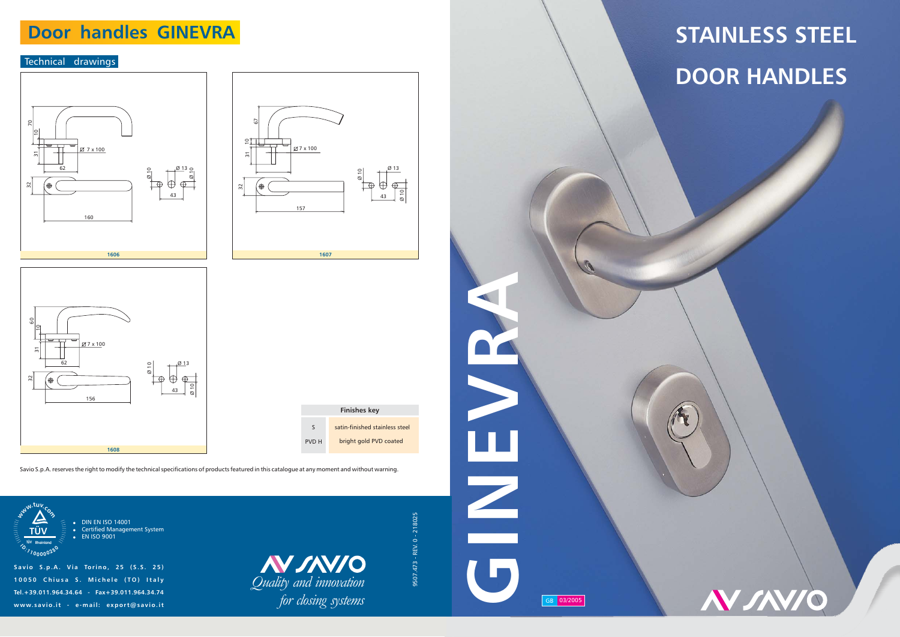#### Technical drawings

# **STAINLESS STEEL DOOR HANDLES**

**N SAVIO** 











**Savio S.p.A. Via Torino, 25 (S.S. 25) 10050 Chiusa S. Michele (TO) Italy Tel.+39.011.964.34.64 - Fax+39.011.964.34.74** $www.savio.it - e-mail: [export@savio.it](mailto:export@savio.it)$ 

Savio S.p.A. reserves the right to modify the technical specifications of products featured in this catalogue at any moment and without warning.



 DIN EN ISO 14001 Certified Management System o EN ISO 9001

> *Quality and innovation for closing systems*

9507.473 - REV. 0 - 218025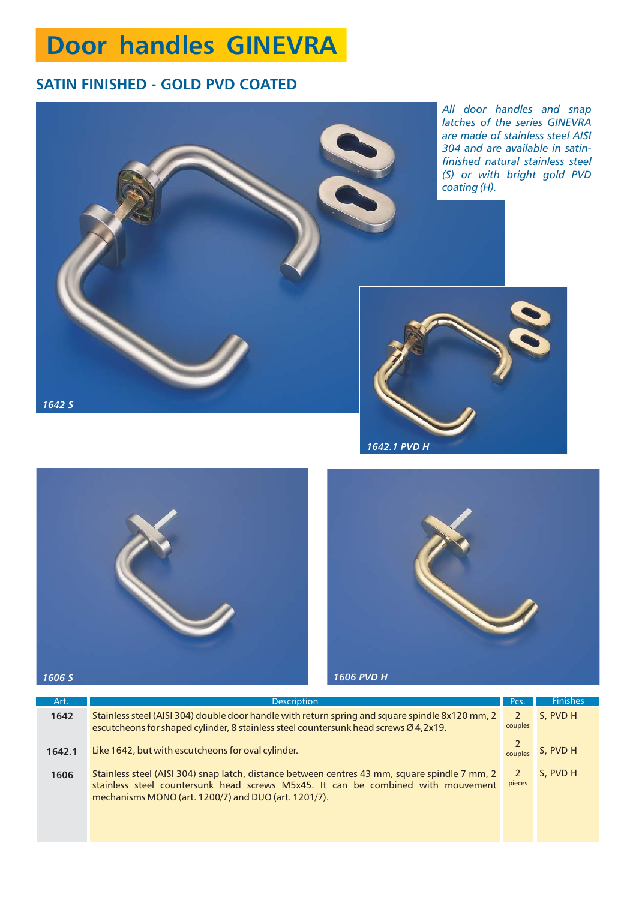#### **SATIN FINISHED - GOLD PVD COATED**



| Art.   | <b>Description</b>                                                                                                                                                                                                                        | Pcs.                     | <b>Finishes</b> |
|--------|-------------------------------------------------------------------------------------------------------------------------------------------------------------------------------------------------------------------------------------------|--------------------------|-----------------|
| 1642   | Stainless steel (AISI 304) double door handle with return spring and square spindle 8x120 mm, 2<br>escutcheons for shaped cylinder, 8 stainless steel countersunk head screws Ø 4,2x19.                                                   | $\mathcal{P}$<br>couples | S, PVD H        |
| 1642.1 | Like 1642, but with escutcheons for oval cylinder.                                                                                                                                                                                        | couples                  | S. PVD H        |
| 1606   | Stainless steel (AISI 304) snap latch, distance between centres 43 mm, square spindle 7 mm, 2<br>stainless steel countersunk head screws M5x45. It can be combined with mouvement<br>mechanisms MONO (art. 1200/7) and DUO (art. 1201/7). | 2<br>pieces              | S, PVD H        |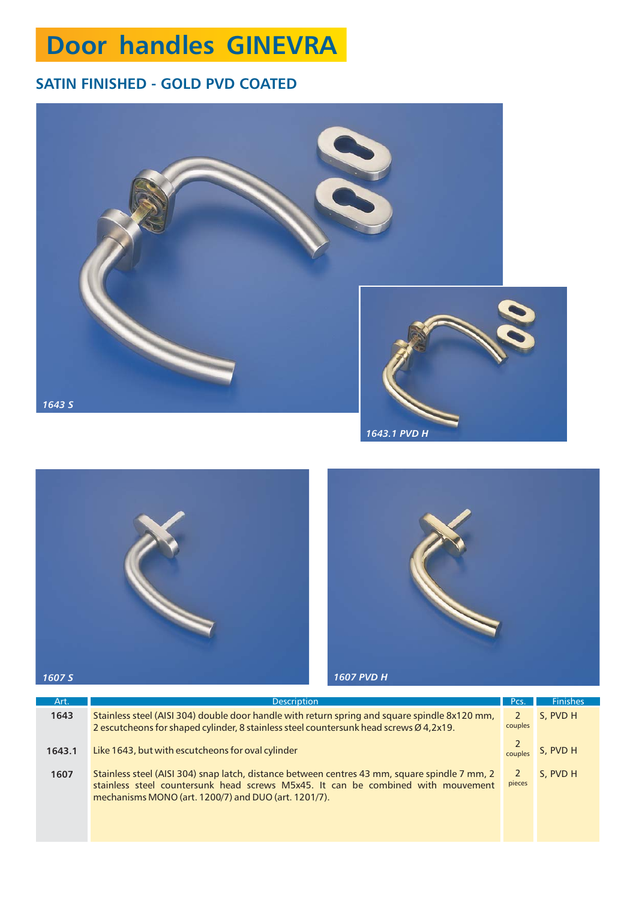### **SATIN FINISHED - GOLD PVD COATED**







| Art.   | <b>Description</b>                                                                                                                                                                                                                        | Pcs.                     | <b>Finishes</b> |
|--------|-------------------------------------------------------------------------------------------------------------------------------------------------------------------------------------------------------------------------------------------|--------------------------|-----------------|
| 1643   | Stainless steel (AISI 304) double door handle with return spring and square spindle 8x120 mm,<br>2 escutcheons for shaped cylinder, 8 stainless steel countersunk head screws Ø 4,2x19.                                                   | $\mathcal{P}$<br>couples | S. PVD H        |
| 1643.1 | Like 1643, but with escutcheons for oval cylinder                                                                                                                                                                                         | couples                  | S. PVD H        |
| 1607   | Stainless steel (AISI 304) snap latch, distance between centres 43 mm, square spindle 7 mm, 2<br>stainless steel countersunk head screws M5x45. It can be combined with mouvement<br>mechanisms MONO (art. 1200/7) and DUO (art. 1201/7). | <sup>2</sup><br>pieces   | S, PVD H        |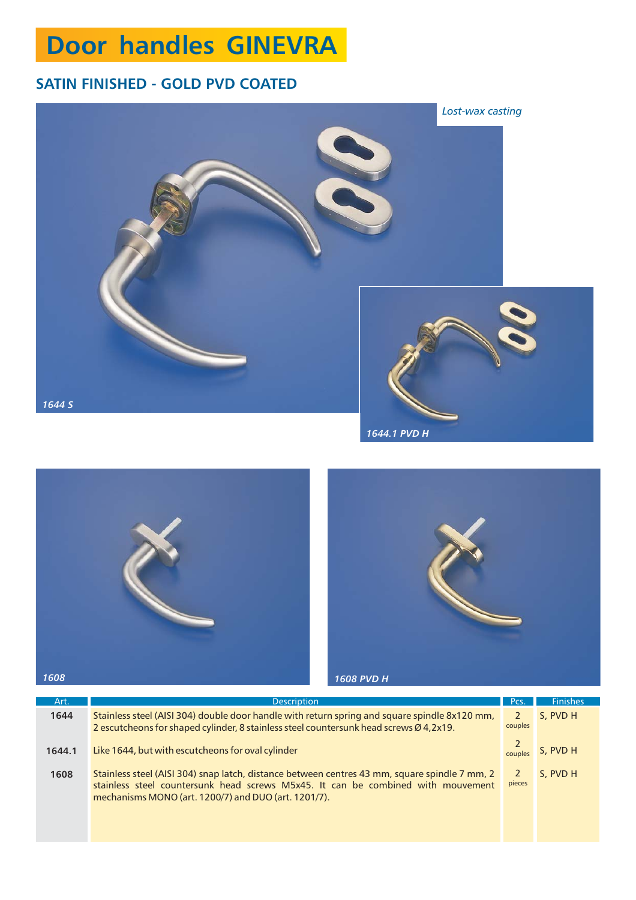### **SATIN FINISHED - GOLD PVD COATED**







| Art.   | <b>Description</b>                                                                                                                                                                                                                        | Pcs.                     | <b>Finishes</b> |
|--------|-------------------------------------------------------------------------------------------------------------------------------------------------------------------------------------------------------------------------------------------|--------------------------|-----------------|
| 1644   | Stainless steel (AISI 304) double door handle with return spring and square spindle 8x120 mm,<br>2 escutcheons for shaped cylinder, 8 stainless steel countersunk head screws Ø 4,2x19.                                                   | $\mathcal{P}$<br>couples | S. PVD H        |
| 1644.1 | Like 1644, but with escutcheons for oval cylinder                                                                                                                                                                                         | couples                  | S. PVD H        |
| 1608   | Stainless steel (AISI 304) snap latch, distance between centres 43 mm, square spindle 7 mm, 2<br>stainless steel countersunk head screws M5x45. It can be combined with mouvement<br>mechanisms MONO (art. 1200/7) and DUO (art. 1201/7). | <sup>2</sup><br>pieces   | S. PVD H        |